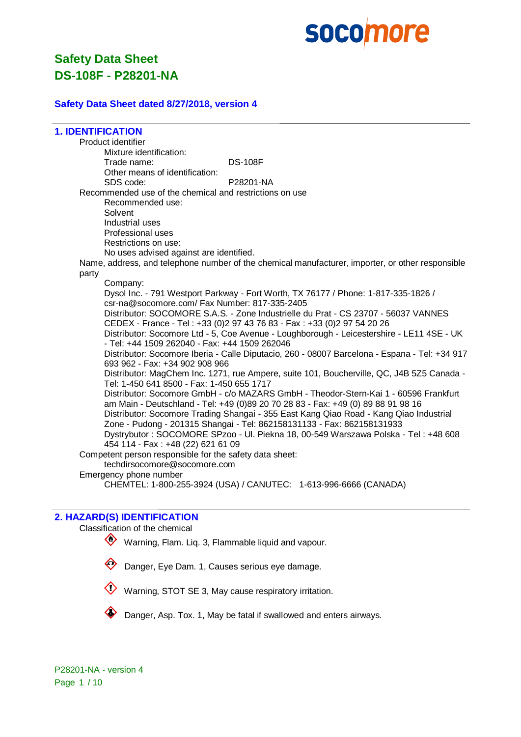

#### **Safety Data Sheet dated 8/27/2018, version 4**

**1. IDENTIFICATION**

Product identifier Mixture identification: Trade name: DS-108F Other means of identification: SDS code: P28201-NA Recommended use of the chemical and restrictions on use Recommended use: Solvent Industrial uses Professional uses Restrictions on use: No uses advised against are identified. Name, address, and telephone number of the chemical manufacturer, importer, or other responsible party Company: Dysol Inc. - 791 Westport Parkway - Fort Worth, TX 76177 / Phone: 1-817-335-1826 / csr-na@socomore.com/ Fax Number: 817-335-2405 Distributor: SOCOMORE S.A.S. - Zone Industrielle du Prat - CS 23707 - 56037 VANNES

CEDEX - France - Tel : +33 (0)2 97 43 76 83 - Fax : +33 (0)2 97 54 20 26 Distributor: Socomore Ltd - 5, Coe Avenue - Loughborough - Leicestershire - LE11 4SE - UK - Tel: +44 1509 262040 - Fax: +44 1509 262046

Distributor: Socomore Iberia - Calle Diputacio, 260 - 08007 Barcelona - Espana - Tel: +34 917 693 962 - Fax: +34 902 908 966

Distributor: MagChem Inc. 1271, rue Ampere, suite 101, Boucherville, QC, J4B 5Z5 Canada - Tel: 1-450 641 8500 - Fax: 1-450 655 1717

Distributor: Socomore GmbH - c/o MAZARS GmbH - Theodor-Stern-Kai 1 - 60596 Frankfurt am Main - Deutschland - Tel: +49 (0)89 20 70 28 83 - Fax: +49 (0) 89 88 91 98 16 Distributor: Socomore Trading Shangai - 355 East Kang Qiao Road - Kang Qiao Industrial Zone - Pudong - 201315 Shangai - Tel: 862158131133 - Fax: 862158131933 Dystrybutor : SOCOMORE SPzoo - Ul. Piekna 18, 00-549 Warszawa Polska - Tel : +48 608 454 114 - Fax : +48 (22) 621 61 09

Competent person responsible for the safety data sheet:

techdirsocomore@socomore.com

Emergency phone number

CHEMTEL: 1-800-255-3924 (USA) / CANUTEC: 1-613-996-6666 (CANADA)

#### **2. HAZARD(S) IDENTIFICATION**

Classification of the chemical

- Warning, Flam. Lig. 3, Flammable liquid and vapour.
- 

Danger, Eye Dam. 1, Causes serious eye damage.



Danger, Asp. Tox. 1, May be fatal if swallowed and enters airways.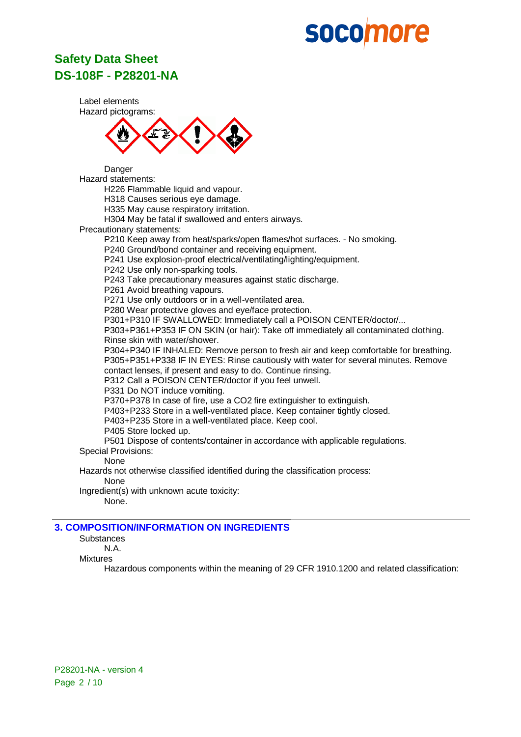## **Safety Data Sheet DS-108F - P28201-NA**

Label elements Hazard pictograms:



Danger Hazard statements:

H226 Flammable liquid and vapour.

H318 Causes serious eye damage.

H335 May cause respiratory irritation.

H304 May be fatal if swallowed and enters airways.

Precautionary statements:

P210 Keep away from heat/sparks/open flames/hot surfaces. - No smoking.

P240 Ground/bond container and receiving equipment.

P241 Use explosion-proof electrical/ventilating/lighting/equipment.

P242 Use only non-sparking tools.

P243 Take precautionary measures against static discharge.

P261 Avoid breathing vapours.

P271 Use only outdoors or in a well-ventilated area.

P280 Wear protective gloves and eye/face protection.

P301+P310 IF SWALLOWED: Immediately call a POISON CENTER/doctor/...

P303+P361+P353 IF ON SKIN (or hair): Take off immediately all contaminated clothing. Rinse skin with water/shower.

P304+P340 IF INHALED: Remove person to fresh air and keep comfortable for breathing. P305+P351+P338 IF IN EYES: Rinse cautiously with water for several minutes. Remove contact lenses, if present and easy to do. Continue rinsing.

P312 Call a POISON CENTER/doctor if you feel unwell.

P331 Do NOT induce vomiting.

P370+P378 In case of fire, use a CO2 fire extinguisher to extinguish.

P403+P233 Store in a well-ventilated place. Keep container tightly closed.

P403+P235 Store in a well-ventilated place. Keep cool.

P405 Store locked up.

P501 Dispose of contents/container in accordance with applicable regulations.

Special Provisions: None

Hazards not otherwise classified identified during the classification process:

None

Ingredient(s) with unknown acute toxicity:

None.

## **3. COMPOSITION/INFORMATION ON INGREDIENTS**

**Substances** 

N.A.

Mixtures

Hazardous components within the meaning of 29 CFR 1910.1200 and related classification: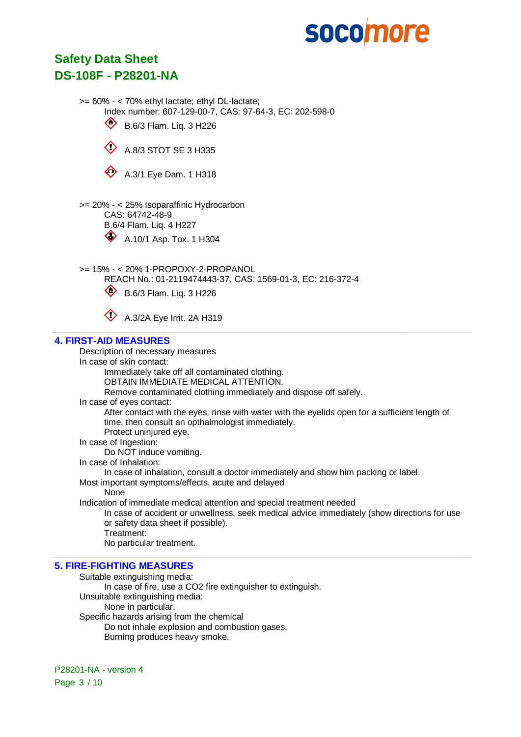## **Safety Data Sheet DS-108F - P28201-NA**

>= 60% - < 70% ethyl lactate; ethyl DL-lactate; Index number: 607-129-00-7, CAS: 97-64-3, EC: 202-598-0

 $\circledast$  B.6/3 Flam. Liq. 3 H226





>= 20% - < 25% Isoparaffinic Hydrocarbon CAS: 64742-48-9 B.6/4 Flam. Liq. 4 H227



A.10/1 Asp. Tox. 1 H304

>= 15% - < 20% 1-PROPOXY-2-PROPANOL

REACH No.: 01-2119474443-37, CAS: 1569-01-3, EC: 216-372-4



 $\bullet$  B.6/3 Flam. Liq. 3 H226



 $\bigotimes$  A.3/2A Eve Irrit. 2A H319

## **4. FIRST-AID MEASURES**

Description of necessary measures

In case of skin contact:

Immediately take off all contaminated clothing.

OBTAIN IMMEDIATE MEDICAL ATTENTION.

Remove contaminated clothing immediately and dispose off safely.

In case of eyes contact:

After contact with the eyes, rinse with water with the eyelids open for a sufficient length of time, then consult an opthalmologist immediately.

Protect uninjured eye.

In case of Ingestion:

Do NOT induce vomiting.

In case of Inhalation:

In case of inhalation, consult a doctor immediately and show him packing or label.

Most important symptoms/effects, acute and delayed

**None** 

Indication of immediate medical attention and special treatment needed

In case of accident or unwellness, seek medical advice immediately (show directions for use or safety data sheet if possible).

Treatment:

No particular treatment.

## **5. FIRE-FIGHTING MEASURES**

Suitable extinguishing media: In case of fire, use a CO2 fire extinguisher to extinguish. Unsuitable extinguishing media: None in particular. Specific hazards arising from the chemical Do not inhale explosion and combustion gases. Burning produces heavy smoke.

P28201-NA - version 4 Page 3 / 10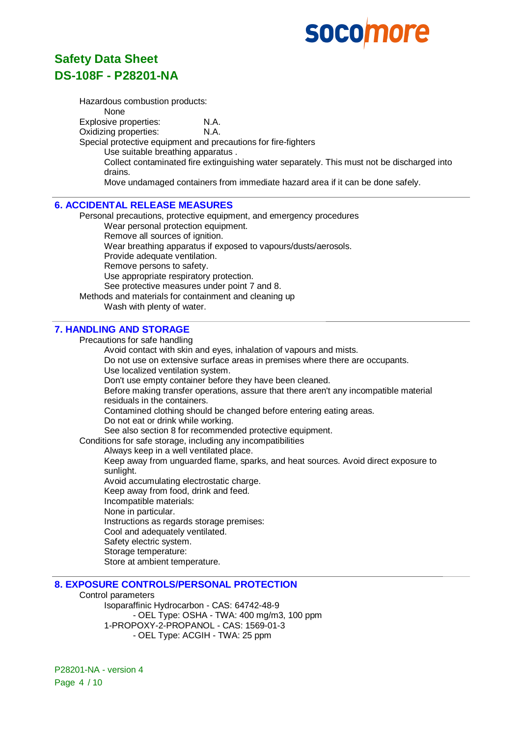# **Safety Data Sheet DS-108F - P28201-NA**

Hazardous combustion products: None Explosive properties: N.A. Oxidizing properties: N.A. Special protective equipment and precautions for fire-fighters Use suitable breathing apparatus . Collect contaminated fire extinguishing water separately. This must not be discharged into drains. Move undamaged containers from immediate hazard area if it can be done safely.

### **6. ACCIDENTAL RELEASE MEASURES**

Personal precautions, protective equipment, and emergency procedures Wear personal protection equipment.

Remove all sources of ignition. Wear breathing apparatus if exposed to vapours/dusts/aerosols. Provide adequate ventilation. Remove persons to safety. Use appropriate respiratory protection. See protective measures under point 7 and 8. Methods and materials for containment and cleaning up

Wash with plenty of water.

## **7. HANDLING AND STORAGE**

Precautions for safe handling

Avoid contact with skin and eyes, inhalation of vapours and mists.

Do not use on extensive surface areas in premises where there are occupants.

Use localized ventilation system.

Don't use empty container before they have been cleaned.

Before making transfer operations, assure that there aren't any incompatible material residuals in the containers.

Contamined clothing should be changed before entering eating areas.

Do not eat or drink while working.

See also section 8 for recommended protective equipment.

Conditions for safe storage, including any incompatibilities

Always keep in a well ventilated place.

Keep away from unguarded flame, sparks, and heat sources. Avoid direct exposure to sunlight.

Avoid accumulating electrostatic charge.

Keep away from food, drink and feed.

Incompatible materials:

None in particular.

Instructions as regards storage premises:

Cool and adequately ventilated.

Safety electric system.

Storage temperature:

Store at ambient temperature.

#### **8. EXPOSURE CONTROLS/PERSONAL PROTECTION**

Control parameters Isoparaffinic Hydrocarbon - CAS: 64742-48-9 - OEL Type: OSHA - TWA: 400 mg/m3, 100 ppm 1-PROPOXY-2-PROPANOL - CAS: 1569-01-3 - OEL Type: ACGIH - TWA: 25 ppm

P28201-NA - version 4 Page 4 / 10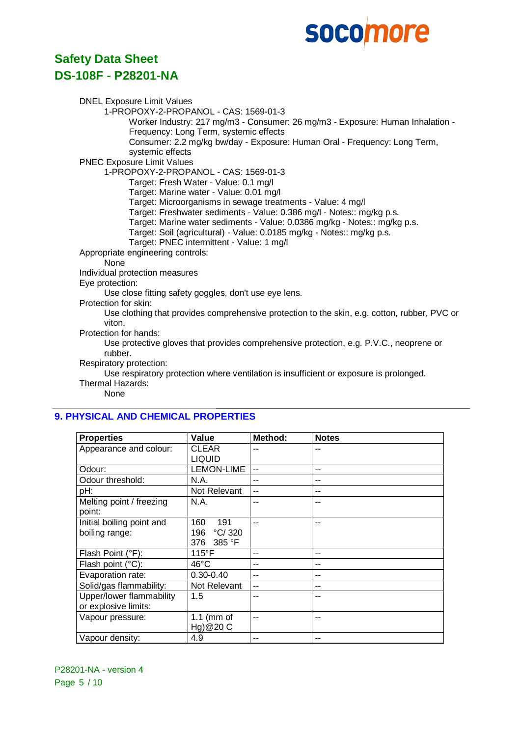## **Safety Data Sheet DS-108F - P28201-NA**

DNEL Exposure Limit Values 1-PROPOXY-2-PROPANOL - CAS: 1569-01-3 Worker Industry: 217 mg/m3 - Consumer: 26 mg/m3 - Exposure: Human Inhalation - Frequency: Long Term, systemic effects Consumer: 2.2 mg/kg bw/day - Exposure: Human Oral - Frequency: Long Term, systemic effects PNEC Exposure Limit Values 1-PROPOXY-2-PROPANOL - CAS: 1569-01-3 Target: Fresh Water - Value: 0.1 mg/l Target: Marine water - Value: 0.01 mg/l Target: Microorganisms in sewage treatments - Value: 4 mg/l Target: Freshwater sediments - Value: 0.386 mg/l - Notes:: mg/kg p.s. Target: Marine water sediments - Value: 0.0386 mg/kg - Notes:: mg/kg p.s. Target: Soil (agricultural) - Value: 0.0185 mg/kg - Notes:: mg/kg p.s. Target: PNEC intermittent - Value: 1 mg/l Appropriate engineering controls: None Individual protection measures Eye protection: Use close fitting safety goggles, don't use eye lens. Protection for skin: Use clothing that provides comprehensive protection to the skin, e.g. cotton, rubber, PVC or viton. Protection for hands: Use protective gloves that provides comprehensive protection, e.g. P.V.C., neoprene or

rubber.

Respiratory protection:

Use respiratory protection where ventilation is insufficient or exposure is prolonged.

Thermal Hazards:

None

## **9. PHYSICAL AND CHEMICAL PROPERTIES**

| <b>Properties</b>         | Value           | Method: | <b>Notes</b> |
|---------------------------|-----------------|---------|--------------|
| Appearance and colour:    | <b>CLEAR</b>    |         |              |
|                           | <b>LIQUID</b>   |         |              |
| Odour:                    | LEMON-LIME      | --      | --           |
| Odour threshold:          | N.A.            | --      | --           |
| pH:                       | Not Relevant    | --      |              |
| Melting point / freezing  | N.A.            | --      |              |
| point:                    |                 |         |              |
| Initial boiling point and | 160<br>191      | --      |              |
| boiling range:            | °C/320<br>196   |         |              |
|                           | 385 °F<br>376   |         |              |
| Flash Point (°F):         | $115^{\circ}$ F | --      |              |
| Flash point (°C):         | $46^{\circ}$ C  | --      | --           |
| Evaporation rate:         | $0.30 - 0.40$   | --      | --           |
| Solid/gas flammability:   | Not Relevant    | $-$     | --           |
| Upper/lower flammability  | 1.5             | --      |              |
| or explosive limits:      |                 |         |              |
| Vapour pressure:          | 1.1 (mm of      | --      | --           |
|                           | Hg)@20 C        |         |              |
| Vapour density:           | 4.9             | --      |              |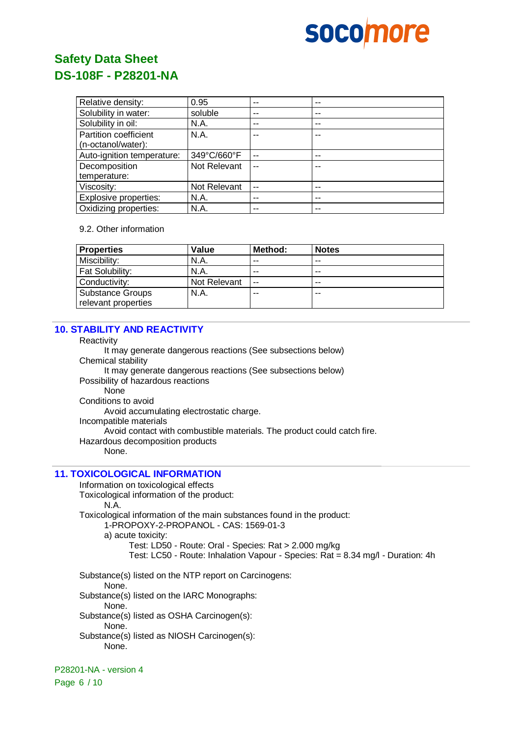

| Relative density:          | 0.95         | --    | -- |
|----------------------------|--------------|-------|----|
| Solubility in water:       | soluble      | --    | -- |
| Solubility in oil:         | N.A.         | --    | -- |
| Partition coefficient      | N.A.         | --    |    |
| (n-octanol/water):         |              |       |    |
| Auto-ignition temperature: | 349°C/660°F  | $- -$ | -- |
| Decomposition              | Not Relevant | --    |    |
| temperature:               |              |       |    |
| Viscosity:                 | Not Relevant | $-$   | -- |
| Explosive properties:      | N.A.         | --    | -- |
| Oxidizing properties:      | N.A.         | --    | -- |

#### 9.2. Other information

| <b>Properties</b>                       | Value        | Method: | <b>Notes</b> |
|-----------------------------------------|--------------|---------|--------------|
| Miscibility:                            | N.A.         | --      | $- -$        |
| <b>Fat Solubility:</b>                  | N.A.         | --      | $- -$        |
| Conductivity:                           | Not Relevant | $-$     | $- -$        |
| Substance Groups<br>relevant properties | N.A.         | --      | --           |

## **10. STABILITY AND REACTIVITY**

**Reactivity** It may generate dangerous reactions (See subsections below) Chemical stability It may generate dangerous reactions (See subsections below) Possibility of hazardous reactions None Conditions to avoid Avoid accumulating electrostatic charge. Incompatible materials Avoid contact with combustible materials. The product could catch fire. Hazardous decomposition products None.

## **11. TOXICOLOGICAL INFORMATION**

Information on toxicological effects

Toxicological information of the product:

#### N.A.

Toxicological information of the main substances found in the product:

1-PROPOXY-2-PROPANOL - CAS: 1569-01-3

a) acute toxicity:

Test: LD50 - Route: Oral - Species: Rat > 2.000 mg/kg Test: LC50 - Route: Inhalation Vapour - Species: Rat = 8.34 mg/l - Duration: 4h

Substance(s) listed on the NTP report on Carcinogens:

None.

Substance(s) listed on the IARC Monographs:

None.

Substance(s) listed as OSHA Carcinogen(s):

None.

Substance(s) listed as NIOSH Carcinogen(s): None.

P28201-NA - version 4

Page 6 / 10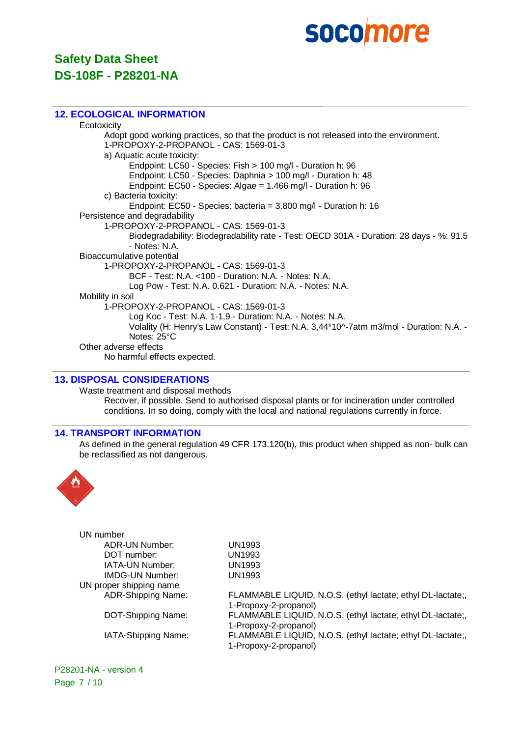

#### **12. ECOLOGICAL INFORMATION**

**Ecotoxicity** Adopt good working practices, so that the product is not released into the environment. 1-PROPOXY-2-PROPANOL - CAS: 1569-01-3 a) Aquatic acute toxicity: Endpoint: LC50 - Species: Fish > 100 mg/l - Duration h: 96 Endpoint: LC50 - Species: Daphnia > 100 mg/l - Duration h: 48 Endpoint: EC50 - Species: Algae = 1.466 mg/l - Duration h: 96 c) Bacteria toxicity: Endpoint: EC50 - Species: bacteria = 3.800 mg/l - Duration h: 16 Persistence and degradability 1-PROPOXY-2-PROPANOL - CAS: 1569-01-3 Biodegradability: Biodegradability rate - Test: OECD 301A - Duration: 28 days - %: 91.5 - Notes: N.A. Bioaccumulative potential 1-PROPOXY-2-PROPANOL - CAS: 1569-01-3 BCF - Test: N.A. <100 - Duration: N.A. - Notes: N.A. Log Pow - Test: N.A. 0.621 - Duration: N.A. - Notes: N.A. Mobility in soil 1-PROPOXY-2-PROPANOL - CAS: 1569-01-3 Log Koc - Test: N.A. 1-1,9 - Duration: N.A. - Notes: N.A. Volality (H: Henry's Law Constant) - Test: N.A. 3,44\*10^-7atm m3/mol - Duration: N.A. - Notes: 25°C Other adverse effects No harmful effects expected.

### **13. DISPOSAL CONSIDERATIONS**

Waste treatment and disposal methods Recover, if possible. Send to authorised disposal plants or for incineration under controlled conditions. In so doing, comply with the local and national regulations currently in force.

#### **14. TRANSPORT INFORMATION**

As defined in the general regulation 49 CFR 173.120(b), this product when shipped as non- bulk can be reclassified as not dangerous.



| UN number               |                                                             |
|-------------------------|-------------------------------------------------------------|
| <b>ADR-UN Number:</b>   | UN1993                                                      |
| DOT number:             | <b>UN1993</b>                                               |
| IATA-UN Number:         | UN1993                                                      |
| <b>IMDG-UN Number:</b>  | UN1993                                                      |
| UN proper shipping name |                                                             |
| ADR-Shipping Name:      | FLAMMABLE LIQUID, N.O.S. (ethyl lactate; ethyl DL-lactate;, |
|                         | 1-Propoxy-2-propanol)                                       |
| DOT-Shipping Name:      | FLAMMABLE LIQUID, N.O.S. (ethyl lactate; ethyl DL-lactate;, |
|                         | 1-Propoxy-2-propanol)                                       |
| IATA-Shipping Name:     | FLAMMABLE LIQUID, N.O.S. (ethyl lactate; ethyl DL-lactate;, |
|                         | 1-Propoxy-2-propanol)                                       |
|                         |                                                             |

P28201-NA - version 4 Page 7 / 10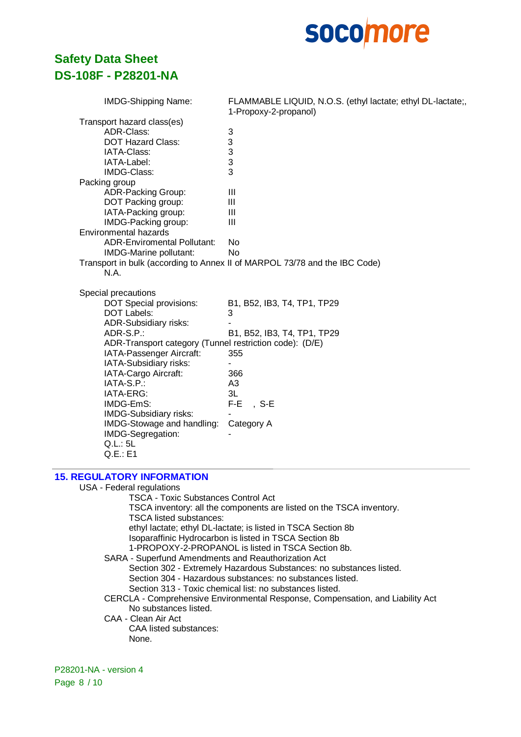

| <b>IMDG-Shipping Name:</b>                              | FLAMMABLE LIQUID, N.O.S. (ethyl lactate; ethyl DL-lactate;,<br>1-Propoxy-2-propanol) |
|---------------------------------------------------------|--------------------------------------------------------------------------------------|
| Transport hazard class(es)                              |                                                                                      |
| ADR-Class:                                              | $\ensuremath{\mathsf{3}}$                                                            |
| <b>DOT Hazard Class:</b>                                | 3                                                                                    |
| IATA-Class:                                             | 3                                                                                    |
| IATA-Label:                                             | 3                                                                                    |
| IMDG-Class:                                             | 3                                                                                    |
| Packing group                                           |                                                                                      |
| <b>ADR-Packing Group:</b>                               | Ш                                                                                    |
| DOT Packing group:                                      | Ш                                                                                    |
| IATA-Packing group:                                     | Ш                                                                                    |
| IMDG-Packing group:                                     | Ш                                                                                    |
| Environmental hazards                                   |                                                                                      |
| <b>ADR-Enviromental Pollutant:</b>                      | No                                                                                   |
| IMDG-Marine pollutant:                                  | <b>No</b>                                                                            |
|                                                         | Transport in bulk (according to Annex II of MARPOL 73/78 and the IBC Code)           |
| N.A.                                                    |                                                                                      |
| Special precautions                                     |                                                                                      |
| <b>DOT Special provisions:</b>                          | B1, B52, IB3, T4, TP1, TP29                                                          |
| <b>DOT Labels:</b>                                      | 3                                                                                    |
| ADR-Subsidiary risks:                                   |                                                                                      |
| ADR-S.P.:                                               | B1, B52, IB3, T4, TP1, TP29                                                          |
| ADR-Transport category (Tunnel restriction code): (D/E) |                                                                                      |
| IATA-Passenger Aircraft:                                | 355                                                                                  |
| IATA-Subsidiary risks:                                  |                                                                                      |
| IATA-Cargo Aircraft:                                    | 366                                                                                  |
| IATA-S.P.:                                              | A3                                                                                   |
| IATA-ERG:                                               | 3L                                                                                   |
| IMDG-EmS:                                               | $F-E$<br>$S-E$                                                                       |
| IMDG-Subsidiary risks:                                  |                                                                                      |
| IMDG-Stowage and handling:                              | Category A                                                                           |
| IMDG-Segregation:                                       |                                                                                      |
| Q.L.: 5L                                                |                                                                                      |
| Q.E.:E1                                                 |                                                                                      |
|                                                         |                                                                                      |

### **15. REGULATORY INFORMATION**

USA - Federal regulations TSCA - Toxic Substances Control Act TSCA inventory: all the components are listed on the TSCA inventory. TSCA listed substances: ethyl lactate; ethyl DL-lactate; is listed in TSCA Section 8b Isoparaffinic Hydrocarbon is listed in TSCA Section 8b 1-PROPOXY-2-PROPANOL is listed in TSCA Section 8b. SARA - Superfund Amendments and Reauthorization Act Section 302 - Extremely Hazardous Substances: no substances listed. Section 304 - Hazardous substances: no substances listed. Section 313 - Toxic chemical list: no substances listed. CERCLA - Comprehensive Environmental Response, Compensation, and Liability Act No substances listed. CAA - Clean Air Act CAA listed substances: None.

P28201-NA - version 4 Page 8 / 10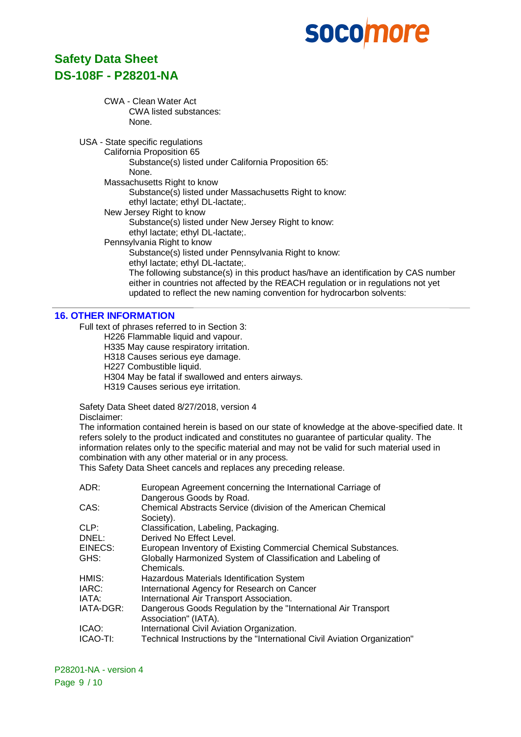# **Safety Data Sheet DS-108F - P28201-NA**

#### CWA - Clean Water Act CWA listed substances: None.

USA - State specific regulations

California Proposition 65 Substance(s) listed under California Proposition 65:

None.

Massachusetts Right to know

Substance(s) listed under Massachusetts Right to know:

ethyl lactate; ethyl DL-lactate;.

New Jersey Right to know

Substance(s) listed under New Jersey Right to know:

ethyl lactate; ethyl DL-lactate;.

Pennsylvania Right to know

Substance(s) listed under Pennsylvania Right to know:

ethyl lactate; ethyl DL-lactate;.

The following substance(s) in this product has/have an identification by CAS number either in countries not affected by the REACH regulation or in regulations not yet updated to reflect the new naming convention for hydrocarbon solvents:

## **16. OTHER INFORMATION**

Full text of phrases referred to in Section 3:

H226 Flammable liquid and vapour.

H335 May cause respiratory irritation.

H318 Causes serious eye damage.

H227 Combustible liquid.

H304 May be fatal if swallowed and enters airways.

H319 Causes serious eye irritation.

Safety Data Sheet dated 8/27/2018, version 4 Disclaimer:

The information contained herein is based on our state of knowledge at the above-specified date. It refers solely to the product indicated and constitutes no guarantee of particular quality. The information relates only to the specific material and may not be valid for such material used in combination with any other material or in any process.

This Safety Data Sheet cancels and replaces any preceding release.

| ADR:      | European Agreement concerning the International Carriage of               |
|-----------|---------------------------------------------------------------------------|
|           | Dangerous Goods by Road.                                                  |
| CAS:      | Chemical Abstracts Service (division of the American Chemical             |
|           | Society).                                                                 |
| CLP:      | Classification, Labeling, Packaging.                                      |
| DNEL:     | Derived No Effect Level.                                                  |
| EINECS:   | European Inventory of Existing Commercial Chemical Substances.            |
| GHS:      | Globally Harmonized System of Classification and Labeling of              |
|           | Chemicals.                                                                |
| HMIS:     | Hazardous Materials Identification System                                 |
| IARC:     | International Agency for Research on Cancer                               |
| IATA:     | International Air Transport Association.                                  |
| IATA-DGR: | Dangerous Goods Regulation by the "International Air Transport"           |
|           | Association" (IATA).                                                      |
| ICAO:     | International Civil Aviation Organization.                                |
| ICAO-TI:  | Technical Instructions by the "International Civil Aviation Organization" |